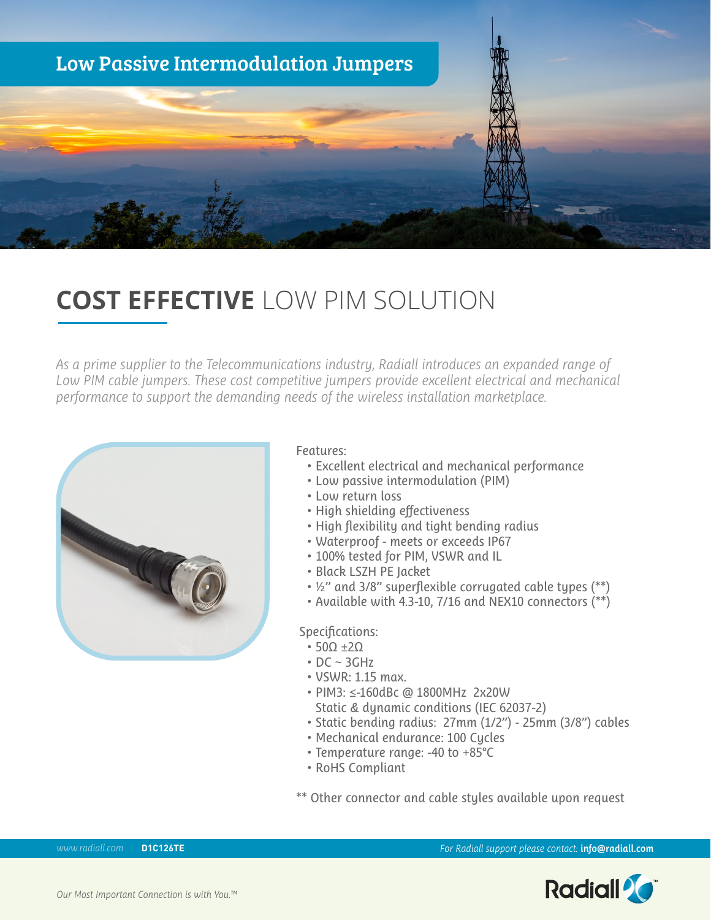

## **COST EFFECTIVE** LOW PIM SOLUTION

*As a prime supplier to the Telecommunications industry, Radiall introduces an expanded range of Low PIM cable jumpers. These cost competitive jumpers provide excellent electrical and mechanical performance to support the demanding needs of the wireless installation marketplace.* 



## Features:

- Excellent electrical and mechanical performance
- Low passive intermodulation (PIM)
- Low return loss
- High shielding effectiveness
- High flexibility and tight bending radius
- Waterproof meets or exceeds IP67
- 100% tested for PIM, VSWR and IL
- Black LSZH PE Jacket
- ½'' and 3/8'' superflexible corrugated cable types (\*\*)
- Available with 4.3-10, 7/16 and NEX10 connectors (\*\*)

## Specifications:

- 50Ω ±2Ω
- $\cdot$  DC  $\sim$  3GHz
- VSWR: 1.15 max.
- PIM3: ≤-160dBc @ 1800MHz 2x20W Static & dynamic conditions (IEC 62037-2)
- Static bending radius: 27mm (1/2") 25mm (3/8") cables
- Mechanical endurance: 100 Cycles
- Temperature range: -40 to +85°C
- RoHS Compliant
- \*\* Other connector and cable styles available upon request